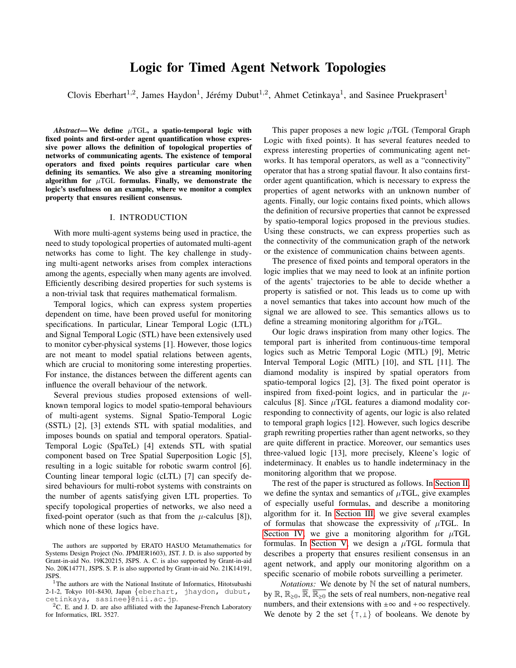# Logic for Timed Agent Network Topologies

Clovis Eberhart<sup>1,2</sup>, James Haydon<sup>1</sup>, Jérémy Dubut<sup>1,2</sup>, Ahmet Cetinkaya<sup>1</sup>, and Sasinee Pruekprasert<sup>1</sup>

*Abstract*— We define  $\mu$ TGL, a spatio-temporal logic with fixed points and first-order agent quantification whose expressive power allows the definition of topological properties of networks of communicating agents. The existence of temporal operators and fixed points requires particular care when defining its semantics. We also give a streaming monitoring algorithm for  $\mu$ TGL formulas. Finally, we demonstrate the logic's usefulness on an example, where we monitor a complex property that ensures resilient consensus.

# I. INTRODUCTION

With more multi-agent systems being used in practice, the need to study topological properties of automated multi-agent networks has come to light. The key challenge in studying multi-agent networks arises from complex interactions among the agents, especially when many agents are involved. Efficiently describing desired properties for such systems is a non-trivial task that requires mathematical formalism.

Temporal logics, which can express system properties dependent on time, have been proved useful for monitoring specifications. In particular, Linear Temporal Logic (LTL) and Signal Temporal Logic (STL) have been extensively used to monitor cyber-physical systems [1]. However, those logics are not meant to model spatial relations between agents, which are crucial to monitoring some interesting properties. For instance, the distances between the different agents can influence the overall behaviour of the network.

Several previous studies proposed extensions of wellknown temporal logics to model spatio-temporal behaviours of multi-agent systems. Signal Spatio-Temporal Logic (SSTL) [2], [3] extends STL with spatial modalities, and imposes bounds on spatial and temporal operators. Spatial-Temporal Logic (SpaTeL) [4] extends STL with spatial component based on Tree Spatial Superposition Logic [5], resulting in a logic suitable for robotic swarm control [6]. Counting linear temporal logic (cLTL) [7] can specify desired behaviours for multi-robot systems with constraints on the number of agents satisfying given LTL properties. To specify topological properties of networks, we also need a fixed-point operator (such as that from the  $\mu$ -calculus [8]), which none of these logics have.

This paper proposes a new logic  $\mu$ TGL (Temporal Graph Logic with fixed points). It has several features needed to express interesting properties of communicating agent networks. It has temporal operators, as well as a "connectivity" operator that has a strong spatial flavour. It also contains firstorder agent quantification, which is necessary to express the properties of agent networks with an unknown number of agents. Finally, our logic contains fixed points, which allows the definition of recursive properties that cannot be expressed by spatio-temporal logics proposed in the previous studies. Using these constructs, we can express properties such as the connectivity of the communication graph of the network or the existence of communication chains between agents.

The presence of fixed points and temporal operators in the logic implies that we may need to look at an infinite portion of the agents' trajectories to be able to decide whether a property is satisfied or not. This leads us to come up with a novel semantics that takes into account how much of the signal we are allowed to see. This semantics allows us to define a streaming monitoring algorithm for  $\mu$ TGL.

Our logic draws inspiration from many other logics. The temporal part is inherited from continuous-time temporal logics such as Metric Temporal Logic (MTL) [9], Metric Interval Temporal Logic (MITL) [10], and STL [11]. The diamond modality is inspired by spatial operators from spatio-temporal logics [2], [3]. The fixed point operator is inspired from fixed-point logics, and in particular the  $\mu$ calculus [8]. Since  $\mu$ TGL features a diamond modality corresponding to connectivity of agents, our logic is also related to temporal graph logics [12]. However, such logics describe graph rewriting properties rather than agent networks, so they are quite different in practice. Moreover, our semantics uses three-valued logic [13], more precisely, Kleene's logic of indeterminacy. It enables us to handle indeterminacy in the monitoring algorithm that we propose.

The rest of the paper is structured as follows. In [Section II,](#page-1-0) we define the syntax and semantics of  $\mu$ TGL, give examples of especially useful formulas, and describe a monitoring algorithm for it. In [Section III,](#page-4-0) we give several examples of formulas that showcase the expressivity of  $\mu$ TGL. In [Section IV,](#page-5-0) we give a monitoring algorithm for  $\mu$ TGL formulas. In [Section V,](#page-7-0) we design a  $\mu$ TGL formula that describes a property that ensures resilient consensus in an agent network, and apply our monitoring algorithm on a specific scenario of mobile robots surveilling a perimeter.

*Notations:* We denote by  $N$  the set of natural numbers, by  $\mathbb{R}, \mathbb{R}_{\geq 0}, \overline{\mathbb{R}}, \overline{\mathbb{R}_{\geq 0}}$  the sets of real numbers, non-negative real numbers, and their extensions with  $\pm \infty$  and  $+\infty$  respectively. We denote by 2 the set  $\{\tau, \bot\}$  of booleans. We denote by

The authors are supported by ERATO HASUO Metamathematics for Systems Design Project (No. JPMJER1603), JST. J. D. is also supported by Grant-in-aid No. 19K20215, JSPS. A. C. is also supported by Grant-in-aid No. 20K14771, JSPS. S. P. is also supported by Grant-in-aid No. 21K14191, JSPS.

<sup>&</sup>lt;sup>1</sup>The authors are with the National Institute of Informatics, Hitotsubashi 2-1-2, Tokyo 101-8430, Japan {eberhart, jhaydon, dubut, cetinkaya, sasinee}@nii.ac.jp.

<sup>&</sup>lt;sup>2</sup>C. E. and J. D. are also affiliated with the Japanese-French Laboratory for Informatics, IRL 3527.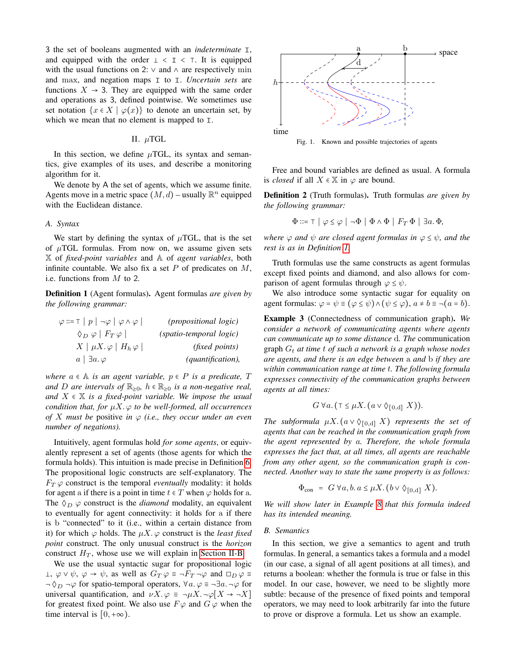3 the set of booleans augmented with an *indeterminate* ⊺, and equipped with the order  $\perp < \perp < \perp$ . It is equipped with the usual functions on 2:  $\vee$  and  $\wedge$  are respectively min and max, and negation maps ⊺ to ⊺. *Uncertain sets* are functions  $X \rightarrow 3$ . They are equipped with the same order and operations as 3, defined pointwise. We sometimes use set notation  $\{x \in X \mid \varphi(x)\}\$  to denote an uncertain set, by which we mean that no element is mapped to ⊺.

# II.  $\mu$ TGL

<span id="page-1-0"></span>In this section, we define  $\mu$ TGL, its syntax and semantics, give examples of its uses, and describe a monitoring algorithm for it.

We denote by A the set of agents, which we assume finite. Agents move in a metric space  $(M, d)$  – usually  $\mathbb{R}^n$  equipped with the Euclidean distance.

#### *A. Syntax*

We start by defining the syntax of  $\mu$ TGL, that is the set of  $\mu$ TGL formulas. From now on, we assume given sets X of *fixed-point variables* and A of *agent variables*, both infinite countable. We also fix a set  $P$  of predicates on  $M$ , i.e. functions from M to 2.

<span id="page-1-2"></span>Definition 1 (Agent formulas). Agent formulas *are given by the following grammar:*

| $\varphi ::= \top   p   \neg \varphi   \varphi \wedge \varphi  $ | <i>(propositional logic)</i> |
|------------------------------------------------------------------|------------------------------|
| $\Diamond_D \varphi \mid F_T \varphi \mid$                       | (spatio-temporal logic)      |
| $X \mid \mu X. \varphi \mid H_h \varphi$                         | <i>(fixed points)</i>        |
| $a \mid \exists a.\,\varphi$                                     | (quantification),            |

*where*  $a \in A$  *is an agent variable,*  $p \in P$  *is a predicate,*  $T$ *and D* are intervals of  $\mathbb{R}_{\geq 0}$ ,  $h \in \mathbb{R}_{\geq 0}$  *is a non-negative real, and*  $X \in \mathbb{X}$  *is a fixed-point variable. We impose the usual condition that, for* µX. φ *to be well-formed, all occurrences of* X must be positive *in*  $\varphi$  *(i.e., they occur under an even number of negations).*

Intuitively, agent formulas hold *for some agents*, or equivalently represent a set of agents (those agents for which the formula holds). This intuition is made precise in Definition [6.](#page-2-0) The propositional logic constructs are self-explanatory. The  $F_T \varphi$  construct is the temporal *eventually* modality: it holds for agent a if there is a point in time  $t \in T$  when  $\varphi$  holds for a. The  $\Diamond_D \varphi$  construct is the *diamond* modality, an equivalent to eventually for agent connectivity: it holds for a if there is b "connected" to it (i.e., within a certain distance from it) for which  $\varphi$  holds. The  $\mu X$ .  $\varphi$  construct is the *least fixed point* construct. The only unusual construct is the *horizon* construct  $H_T$ , whose use we will explain in [Section II-B.](#page-1-1)

We use the usual syntactic sugar for propositional logic  $\bot$ ,  $\varphi \vee \psi$ ,  $\varphi \rightarrow \psi$ , as well as  $G_T \varphi \equiv \neg F_T \neg \varphi$  and  $\Box_D \varphi \equiv \Box$  $\neg \Diamond_D \neg \varphi$  for spatio-temporal operators,  $\forall a. \varphi \equiv \neg \exists a. \neg \varphi$  for universal quantification, and  $\nu X.\varphi \equiv \neg \mu X.\neg \varphi[X \rightarrow \neg X]$ for greatest fixed point. We also use  $F\varphi$  and  $G\varphi$  when the time interval is  $[0, +\infty)$ .



<span id="page-1-4"></span>Fig. 1. Known and possible trajectories of agents

Free and bound variables are defined as usual. A formula is *closed* if all  $X \in \mathbb{X}$  in  $\varphi$  are bound.

Definition 2 (Truth formulas). Truth formulas *are given by the following grammar:*

$$
\Phi ::= \top \mid \varphi \leq \varphi \mid \neg \Phi \mid \Phi \land \Phi \mid F_T \Phi \mid \exists a. \Phi,
$$

*where*  $\varphi$  *and*  $\psi$  *are closed agent formulas in*  $\varphi \leq \psi$ *, and the rest is as in Definition [1.](#page-1-2)*

Truth formulas use the same constructs as agent formulas except fixed points and diamond, and also allows for comparison of agent formulas through  $\varphi \leq \psi$ .

We also introduce some syntactic sugar for equality on agent formulas:  $\varphi = \psi \equiv (\varphi \le \psi) \wedge (\psi \le \varphi), a \ne b \equiv \neg(a = b).$ 

<span id="page-1-3"></span>Example 3 (Connectedness of communication graph). *We consider a network of communicating agents where agents can communicate up to some distance* d*. The* communication graph  $G_t$  *at time t of such a network is a graph whose nodes are agents, and there is an edge between* a *and* b *if they are within communication range at time* t*. The following formula expresses connectivity of the communication graphs between agents at all times:*

$$
G \ \forall a. (\top \leq \mu X. (a \vee \Diamond_{[0,d]} X)).
$$

*The subformula*  $\mu X$ .  $(a \vee \Diamond_{[0,d]} X)$  *represents the set of agents that can be reached in the communication graph from the agent represented by* a*. Therefore, the whole formula expresses the fact that, at all times, all agents are reachable from any other agent, so the communication graph is connected. Another way to state the same property is as follows:*

$$
\Phi_{\text{con}} = G \ \forall a, b. \ a \leq \mu X. \ (b \vee \Diamond_{[0,d]} X).
$$

*We will show later in Example [8](#page-2-1) that this formula indeed has its intended meaning.*

## <span id="page-1-1"></span>*B. Semantics*

<span id="page-1-5"></span>In this section, we give a semantics to agent and truth formulas. In general, a semantics takes a formula and a model (in our case, a signal of all agent positions at all times), and returns a boolean: whether the formula is true or false in this model. In our case, however, we need to be slightly more subtle: because of the presence of fixed points and temporal operators, we may need to look arbitrarily far into the future to prove or disprove a formula. Let us show an example.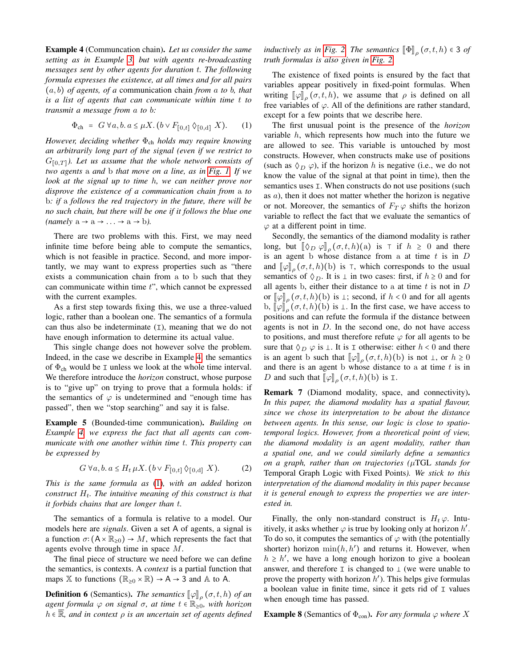Example 4 (Communcation chain). *Let us consider the same setting as in Example [3,](#page-1-3) but with agents re-broadcasting messages sent by other agents for duration* t*. The following formula expresses the existence, at all times and for all pairs* (a, b) *of agents, of a* communication chain *from* a *to* b*, that is a list of agents that can communicate within time* t *to transmit a message from* a *to* b*:*

<span id="page-2-2"></span>
$$
\Phi_{ch} = G \,\forall a, b. a \le \mu X. (b \vee F_{[0,t]} \,\Diamond_{[0,d]} \, X). \tag{1}
$$

*However, deciding whether* Φ<sub>ch</sub> *holds may require knowing an arbitrarily long part of the signal (even if we restrict to*  $G_{[0,T]}$ ). Let us assume that the whole network consists of *two agents* a *and* b *that move on a line, as in [Fig. 1.](#page-1-4) If we look at the signal up to time* h*, we can neither prove nor disprove the existence of a communication chain from* a *to* b*: if* a *follows the red trajectory in the future, there will be no such chain, but there will be one if it follows the blue one*  $(namely a \rightarrow a \rightarrow ... \rightarrow a \rightarrow b).$ 

There are two problems with this. First, we may need infinite time before being able to compute the semantics, which is not feasible in practice. Second, and more importantly, we may want to express properties such as "there exists a communication chain from a to b such that they can communicate within time  $t$ ", which cannot be expressed with the current examples.

As a first step towards fixing this, we use a three-valued logic, rather than a boolean one. The semantics of a formula can thus also be indeterminate (⊺), meaning that we do not have enough information to determine its actual value.

This single change does not however solve the problem. Indeed, in the case we describe in Example [4,](#page-1-5) the semantics of Φch would be ⊺ unless we look at the whole time interval. We therefore introduce the *horizon* construct, whose purpose is to "give up" on trying to prove that a formula holds: if the semantics of  $\varphi$  is undetermined and "enough time has passed", then we "stop searching" and say it is false.

<span id="page-2-3"></span>Example 5 (Bounded-time communication). *Building on Example [4,](#page-1-5) we express the fact that all agents can communicate with one another within time* t*. This property can be expressed by*

<span id="page-2-4"></span>
$$
G \,\forall a, b. a \le H_t \,\mu X. \left(b \vee F_{[0,t]} \,\Diamond_{[0,d]} \, X\right). \tag{2}
$$

*This is the same formula as* [\(1\)](#page-2-2)*, with an added* horizon *construct*  $H_t$ . The intuitive meaning of this construct is that *it forbids chains that are longer than* t*.*

The semantics of a formula is relative to a model. Our models here are *signals*. Given a set A of agents, a signal is a function  $\sigma$ :  $(A \times \mathbb{R}_{>0}) \rightarrow M$ , which represents the fact that agents evolve through time in space M.

The final piece of structure we need before we can define the semantics, is contexts. A *context* is a partial function that maps X to functions ( $\mathbb{R}_{\geq 0} \times \mathbb{R}$ )  $\rightarrow$  A  $\rightarrow$  3 and A to A.

<span id="page-2-0"></span>**Definition 6** (Semantics). *The semantics*  $[\varphi]_p(\sigma, t, h)$  *of an*<br>*gent formula (c. on signal*  $\sigma$ *, at time t. c.*  $\mathbb{R}$ ), with horizon *agent formula*  $\varphi$  *on signal*  $\sigma$ *, at time*  $t \in \mathbb{R}_{>0}$ *, with horizon* <sup>h</sup> <sup>∈</sup> <sup>R</sup>*, and in context* <sup>ρ</sup> *is an uncertain set of agents defined*

*inductively as in [Fig. 2.](#page-3-0) The semantics*  $[\![\Phi]\!]_p(\sigma, t, h) \in 3$  *of* truth formulas is also given in Fig. 2. *truth formulas is also given in [Fig. 2.](#page-3-0)*

The existence of fixed points is ensured by the fact that variables appear positively in fixed-point formulas. When writing  $[\![\varphi]\!]_{\rho}(\sigma, t, h)$ , we assume that  $\rho$  is defined on all free vertically of  $(\rho, \Lambda)$ . free variables of  $\varphi$ . All of the definitions are rather standard, except for a few points that we describe here.

The first unusual point is the presence of the *horizon* variable  $h$ , which represents how much into the future we are allowed to see. This variable is untouched by most constructs. However, when constructs make use of positions (such as  $\Diamond_D \varphi$ ), if the horizon h is negative (i.e., we do not know the value of the signal at that point in time), then the semantics uses ⊥. When constructs do not use positions (such as  $a$ ), then it does not matter whether the horizon is negative or not. Moreover, the semantics of  $F_T \varphi$  shifts the horizon variable to reflect the fact that we evaluate the semantics of  $\varphi$  at a different point in time.

Secondly, the semantics of the diamond modality is rather long, but  $[\![\Diamond_D \varphi]\!]_\rho$   $(\sigma, t, h)(a)$  is  $\top$  if  $h \geq 0$  and there is an agent b whose distance from a at time  $t$  is in  $D$ and  $[\![\varphi]\!]_{\rho}(\sigma, t, h)(b)$  is  $\top$ , which corresponds to the usual<br>semantics of  $\wedge$ . It is  $\bot$  in two cases: first if  $h > 0$  and for semantics of  $\Diamond_D$ . It is  $\bot$  in two cases: first, if  $h \geq 0$  and for all agents b, either their distance to a at time  $t$  is not in  $D$ or  $\llbracket \varphi \rrbracket_{\rho} (\sigma, t, h)(b)$  is  $\perp$ ; second, if  $h < 0$  and for all agents b,  $\llbracket \varphi \rrbracket_{\rho}^{\top}(\sigma, t, h)(b)$  is  $\perp$ . In the first case, we have access to notitions and can refute the formula if the distance between positions and can refute the formula if the distance between agents is not in  $D$ . In the second one, do not have access to positions, and must therefore refute  $\varphi$  for all agents to be sure that  $\Diamond_D \varphi$  is  $\bot$ . It is  $\bot$  otherwise: either  $h < 0$  and there is an agent b such that  $[\![\varphi]\!]_{\rho}(\sigma, t, h)(b)$  is not  $\bot$ , or  $h \ge 0$ and there is an agent b whose distance to a at time  $t$  is in D and such that  $\llbracket \varphi \rrbracket_{\rho} (\sigma, t, h)(b)$  is  $\bot$ .

Remark 7 (Diamond modality, space, and connectivity). *In this paper, the diamond modality has a spatial flavour, since we chose its interpretation to be about the distance between agents. In this sense, our logic is close to spatiotemporal logics. However, from a theoretical point of view, the diamond modality is an agent modality, rather than a spatial one, and we could similarly define a semantics on a graph, rather than on trajectories (*µTGL *stands for* Temporal Graph Logic with Fixed Points*). We stick to this interpretation of the diamond modality in this paper because it is general enough to express the properties we are interested in.*

Finally, the only non-standard construct is  $H_t \varphi$ . Intuitively, it asks whether  $\varphi$  is true by looking only at horizon  $h'$ . To do so, it computes the semantics of  $\varphi$  with (the potentially shorter) horizon  $\min(h, h')$  and returns it. However, when  $h \geq h'$ , we have a long enough horizon to give a boolean answer, and therefore  $\text{I}$  is changed to  $\text{I}$  (we were unable to prove the property with horizon  $h'$ ). This helps give formulas a boolean value in finite time, since it gets rid of ⊺ values when enough time has passed.

<span id="page-2-1"></span>**Example 8** (Semantics of  $\Phi_{con}$ ). *For any formula*  $\varphi$  *where* X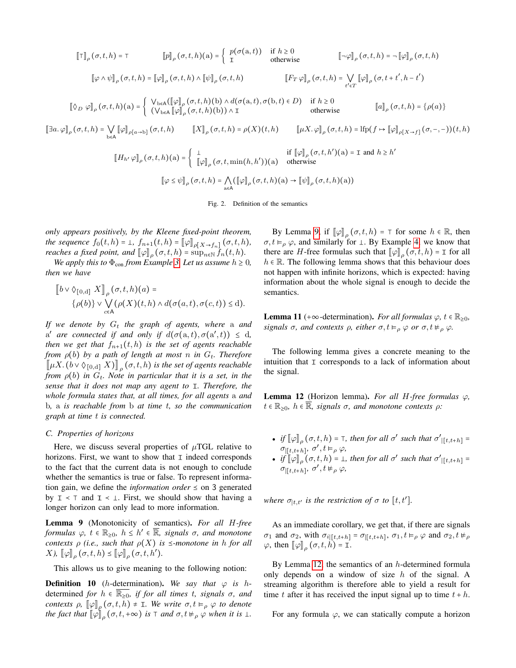$$
\llbracket \mathbf{T} \rrbracket_{\rho}(\sigma, t, h) = \mathbf{T} \qquad \llbracket p \rrbracket_{\rho}(\sigma, t, h)(\mathbf{a}) = \begin{cases} p(\sigma(\mathbf{a}, t)) & \text{if } h \ge 0 \\ \mathbf{T} \end{cases} \qquad \llbracket \neg \varphi \rrbracket_{\rho}(\sigma, t, h) = \neg \llbracket \varphi \rrbracket_{\rho}(\sigma, t, h) \end{cases}
$$
\n
$$
\llbracket \varphi \land \psi \rrbracket_{\rho}(\sigma, t, h) = \llbracket \varphi \rrbracket_{\rho}(\sigma, t, h) \land \llbracket \psi \rrbracket_{\rho}(\sigma, t, h) \qquad \llbracket F_T \varphi \rrbracket_{\rho}(\sigma, t, h) = \bigvee_{t' \in T} \llbracket \varphi \rrbracket_{\rho}(\sigma, t + t', h - t')
$$
\n
$$
\llbracket \Diamond_D \varphi \rrbracket_{\rho}(\sigma, t, h)(\mathbf{a}) = \begin{cases} \n\text{V}_{\text{beA}}(\llbracket \varphi \rrbracket_{\rho}(\sigma, t, h)(\mathbf{b}) \land d(\sigma(\mathbf{a}, t), \sigma(\mathbf{b}, t) \in D) & \text{if } h \ge 0 \\ \n(\text{V}_{\text{beA}}\llbracket \varphi \rrbracket_{\rho}(\sigma, t, h)(\mathbf{b})) \land \text{T} \end{cases} \qquad \text{otherwise} \qquad \llbracket a \rrbracket_{\rho}(\sigma, t, h) = \{\rho(a)\}
$$
\n
$$
\llbracket \exists a. \varphi \rrbracket_{\rho}(\sigma, t, h) = \bigvee_{\mathbf{b} \in \mathbf{A}} \llbracket \varphi \rrbracket_{\rho[\alpha \to b]}(\sigma, t, h) \qquad \llbracket X \rrbracket_{\rho}(\sigma, t, h) = \rho(X)(t, h) \qquad \llbracket \mu X. \varphi \rrbracket_{\rho}(\sigma, t, h) = \text{If } \rho(f \mapsto \llbracket \varphi \rrbracket_{\rho[X \to f]}(\sigma, -, -))(t, h)
$$
\n
$$
\llbracket H_{h'} \varphi \rrbracket_{\rho}(\sigma, t, h)(\mathbf{a}) = \begin{cases} \perp & \text{if }
$$

$$
\varphi \|_{\rho} (\sigma, t, h)(a) = \begin{cases} \frac{1}{\|\varphi\|_{\rho}} (\sigma, t, \min(h, h'))(a) & \text{otherwise} \end{cases}
$$
  

$$
\left[\varphi \leq \psi\right]_{\rho} (\sigma, t, h) = \bigwedge_{a \in A} (\left[\varphi\right]_{\rho} (\sigma, t, h)(a) \to \left[\psi\right]_{\rho} (\sigma, t, h)(a))
$$

<span id="page-3-0"></span>Fig. 2. Definition of the semantics

*only appears positively, by the Kleene fixed-point theorem, the sequence*  $f_0(t, h) = 1$ ,  $f_{n+1}(t, h) = [\![\varphi]\!]_{\rho[X \to f_n]}(\sigma, t, h)$ ,<br>regales a fixed noint, and  $[\![\cdot\]]_{\rho[X \to f_n]}(\sigma, t, h)$ , *reaches a fixed point, and*  $[\![\varphi]\!]_p (\sigma, t, h) = \sup_{n \in \mathbb{N}} \bar{f}_n(t, h)$ .<br>We apply this to  $\Phi$  from Example 3, Let us assume  $h > 0$ .

*We apply this to*  $\Phi_{con}$  *from Example* [3.](#page-1-3) Let us assume  $h \geq 0$ *, then we have*

$$
\left[\!\!\left[b\vee\Diamond_{[0,d]} X\right]\!\!\right]_{\rho} (\sigma,t,h)(a) =
$$
  
 
$$
\{\rho(b)\}\vee\bigvee_{c\in A} (\rho(X)(t,h)\wedge d(\sigma(a,t),\sigma(c,t))\leq d).
$$

*If we denote by*  $G_t$  *the graph of agents, where a and a' are connected if and only if*  $d(σ(a,t), σ(a',t)) ≤ d$ ,<br>then we get that  $f_0(t, t)$  is the set of south mashelds *then we get that*  $f_{n+1}(t, h)$  *is the set of agents reachable from*  $\rho(b)$  *by a path of length at most n in*  $G_t$ *. Therefore*  $\left[\!\left[ \mu X. \left( b \vee \Diamond_{[0,d]} X \right) \!\right]_{\rho} (\sigma, t, h)$  *is the set of agents reachable from*  $\rho(b)$  *in*  $G_t$ . *Note in particular that it is a set, in the sense that it does not map any agent to* ⊺*. Therefore, the whole formula states that, at all times, for all agents* a *and* b*,* a *is reachable from* b *at time* t*, so the communication graph at time* t *is connected.*

#### *C. Properties of horizons*

Here, we discuss several properties of  $\mu$ TGL relative to horizons. First, we want to show that ⊺ indeed corresponds to the fact that the current data is not enough to conclude whether the semantics is true or false. To represent information gain, we define the *information order*  $\leq$  on 3 generated by  $I \leq T$  and  $I \leq L$ . First, we should show that having a longer horizon can only lead to more information.

<span id="page-3-1"></span>Lemma 9 (Monotonicity of semantics). *For all* H*-free formulas*  $\varphi$ ,  $t \in \mathbb{R}_{\geq 0}$ ,  $h \leq h' \in \mathbb{R}$ , signals  $\sigma$ , and monotone *contexts*  $\rho$  *(i.e., such that*  $\rho(X)$  *is*  $\leq$ *-monotone in h for all*  $X$ *)*,  $[\![\varphi]\!]_{\rho}(\sigma, t, h) \leq [\![\varphi]\!]_{\rho}(\sigma, t, h').$ 

This allows us to give meaning to the following notion:

**Definition 10** (*h*-determination). We say that  $\varphi$  is *h*determined *for*  $h \in \mathbb{R}_{\geq 0}$ *, if for all times t, signals*  $\sigma$ *, and contexts*  $\rho$ ,  $[\![\varphi]\!]_{\rho}$   $(\sigma, t, h) \neq I$ *. We write*  $\sigma, t \models_{\rho} \varphi$  *to denote the fact that*  $\llbracket \varphi \rrbracket_{\rho} (\sigma, t, +\infty)$  *is*  $\top$  *and*  $\sigma, t \nvDash_{\rho} \varphi$  *when it is*  $\bot$ .

By Lemma [9,](#page-3-1) if  $[\![\varphi]\!]_p(\sigma, t, h) = \top$  for some  $h \in \mathbb{R}$ , then<br>t  $\vdash$  so and similarly for  $\vdash$  By Example 4, we know that  $\sigma, t \vDash_{\rho} \varphi$ , and similarly for  $\bot$ . By Example [4,](#page-1-5) we know that there are H-free formulas such that  $[\![\varphi]\!]_{\rho}(\sigma, t, h) = I$  for all<br> $h \in \mathbb{R}$ . The following lemma shows that this behaviour does  $h \in \mathbb{R}$ . The following lemma shows that this behaviour does not happen with infinite horizons, which is expected: having information about the whole signal is enough to decide the semantics.

**Lemma 11** (+∞-determination). *For all formulas*  $\varphi$ ,  $t \in \mathbb{R}_{>0}$ , *signals*  $\sigma$ *, and contexts*  $\rho$ *, either*  $\sigma$ *,t*  $\models_{\rho} \varphi$  *or*  $\sigma$ *,t*  $\models_{\rho} \varphi$ *.* 

The following lemma gives a concrete meaning to the intuition that ⊺ corresponds to a lack of information about the signal.

<span id="page-3-2"></span>Lemma 12 (Horizon lemma). *For all* H*-free formulas* φ*,*  $t \in \mathbb{R}_{>0}$ *, h*  $\in \mathbb{R}$ *, signals*  $\sigma$ *, and monotone contexts*  $\rho$ *:* 

- *if*  $[\![\varphi]\!]_p$   $(\sigma, t, h) = \top$ *, then for all*  $\sigma'$  such that  $\sigma'_{|[t,t+h]} =$  $σ$ <sub> $[[t, t+h], σ', t ⊨<sub>ρ</sub> φ,$ </sub>
- *if*  $[\![\varphi]\!]_p$   $(\sigma, t, h) = \bot$ , then for all  $\sigma'$  such that  $\sigma'_{\lfloor [t, t+h] \rfloor} =$  $\sigma_{|[t,t+h]}, \sigma', t \nvDash_{\rho} \varphi,$

*where*  $\sigma_{|t,t'}$  *is the restriction of*  $\sigma$  *to*  $[t, t']$ *.* 

As an immediate corollary, we get that, if there are signals  $\sigma_1$  and  $\sigma_2$ , with  $\sigma_{i|[t,t+h]} = \sigma_{|[t,t+h]}, \sigma_1, t \vDash_{\rho} \varphi$  and  $\sigma_2, t \nvDash_{\rho}$  $\varphi$ , then  $[\![\varphi]\!]_{\rho}(\sigma, t, h) = I$ .

By Lemma [12,](#page-3-2) the semantics of an  $h$ -determined formula only depends on a window of size  $h$  of the signal. A streaming algorithm is therefore able to yield a result for time t after it has received the input signal up to time  $t + h$ .

For any formula  $\varphi$ , we can statically compute a horizon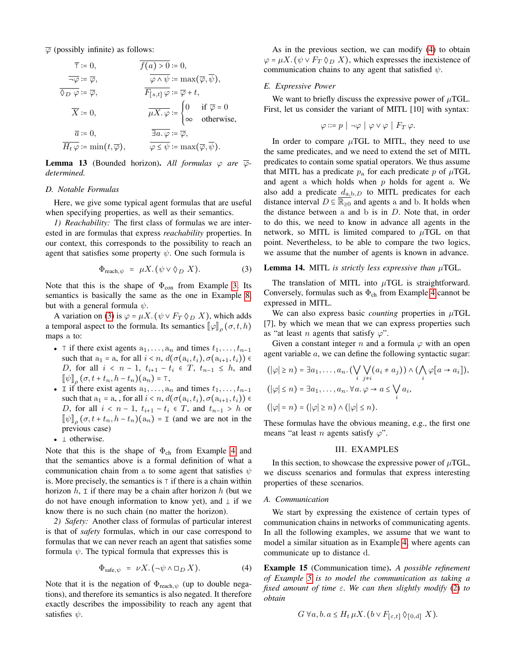$\overline{\varphi}$  (possibly infinite) as follows:

$$
\overline{\tau} := 0, \qquad \overline{f(a) > 0} := 0,
$$
  
\n
$$
\overline{\neg \varphi} := \overline{\varphi}, \qquad \overline{\varphi \land \psi} := \max(\overline{\varphi}, \overline{\psi}),
$$
  
\n
$$
\overline{\chi} := 0, \qquad \overline{\mu X. \varphi} := \begin{cases} 0 & \text{if } \overline{\varphi} = 0 \\ \infty & \text{otherwise,} \end{cases}
$$
  
\n
$$
\overline{a} := 0, \qquad \overline{\mu X. \varphi} := \begin{cases} 0 & \text{if } \overline{\varphi} = 0 \\ \infty & \text{otherwise,} \end{cases}
$$
  
\n
$$
\overline{H_t \varphi} := \min(t, \overline{\varphi}), \qquad \overline{\varphi \leq \psi} := \max(\overline{\varphi}, \overline{\psi}).
$$

**Lemma 13** (Bounded horizon). All formulas  $\varphi$  are  $\overline{\varphi}$ *determined.*

# *D. Notable Formulas*

Here, we give some typical agent formulas that are useful when specifying properties, as well as their semantics.

*1) Reachability:* The first class of formulas we are interested in are formulas that express *reachability* properties. In our context, this corresponds to the possibility to reach an agent that satisfies some property  $\psi$ . One such formula is

<span id="page-4-1"></span>
$$
\Phi_{\text{reach}, \psi} = \mu X. (\psi \vee \Diamond_D X). \tag{3}
$$

Note that this is the shape of  $\Phi_{con}$  from Example [3.](#page-1-3) Its semantics is basically the same as the one in Example [8,](#page-2-1) but with a general formula  $\psi$ .

A variation on [\(3\)](#page-4-1) is  $\varphi = \mu X$ . ( $\psi \vee F_T \Diamond_D X$ ), which adds a temporal aspect to the formula. Its semantics  $[\![\varphi]\!]_{\rho}(\sigma, t, h)$ maps a to:

- ⊤ if there exist agents  $a_1, \ldots, a_n$  and times  $t_1, \ldots, t_{n-1}$ such that  $a_1 = a$ , for all  $i < n$ ,  $d(\sigma(a_i, t_i), \sigma(a_{i+1}, t_i)) \in$ *D*, for all  $i < n - 1$ ,  $t_{i+1} - t_i \in T$ ,  $t_{n-1} \leq h$ , and  $\llbracket \psi \rrbracket_{\rho} (\sigma, t + t_n, h - t_n)(a_n) = \top,$ <br> $\top$  if there exist agents a
- I if there exist agents  $a_1, \ldots, a_n$  and times  $t_1, \ldots, t_{n-1}$ such that  $a_1 = a$ , , for all  $i < n$ ,  $d(\sigma(a_i, t_i), \sigma(a_{i+1}, t_i)) \in D$  for all  $i < n$ ,  $d_i \in T$  and  $t$ *D*, for all  $i < n - 1$ ,  $t_{i+1} - t_i \in T$ , and  $t_{n-1} > h$  or  $[\![\psi]\!]_p (\sigma, t + t_n, h - t_n)(a_n) = I$  (and we are not in the previous case)
- $\perp$  otherwise.

Note that this is the shape of  $\Phi_{ch}$  from Example [4](#page-1-5) and that the semantics above is a formal definition of what a communication chain from a to some agent that satisfies  $\psi$ is. More precisely, the semantics is ⊺ if there is a chain within horizon  $h$ ,  $\text{I}$  if there may be a chain after horizon  $h$  (but we do not have enough information to know yet), and  $\perp$  if we know there is no such chain (no matter the horizon).

*2) Safety:* Another class of formulas of particular interest is that of *safety* formulas, which in our case correspond to formulas that we can never reach an agent that satisfies some formula  $\psi$ . The typical formula that expresses this is

<span id="page-4-2"></span>
$$
\Phi_{\text{safe},\psi} = \nu X. (\neg \psi \land \Box_D X). \tag{4}
$$

Note that it is the negation of  $\Phi_{\text{reach}, \psi}$  (up to double negations), and therefore its semantics is also negated. It therefore exactly describes the impossibility to reach any agent that satisfies  $\psi$ .

As in the previous section, we can modify [\(4\)](#page-4-2) to obtain  $\varphi = \mu X$ . ( $\psi \vee F_T \Diamond_D X$ ), which expresses the inexistence of communication chains to any agent that satisfied  $\psi$ .

## <span id="page-4-5"></span>*E. Expressive Power*

We want to briefly discuss the expressive power of  $\mu$ TGL. First, let us consider the variant of MITL [10] with syntax:

$$
\varphi ::= p \mid \neg \varphi \mid \varphi \vee \varphi \mid F_T \varphi.
$$

In order to compare  $\mu$ TGL to MITL, they need to use the same predicates, and we need to extend the set of MITL predicates to contain some spatial operators. We thus assume that MITL has a predicate  $p_a$  for each predicate p of  $\mu$ TGL and agent a which holds when  $p$  holds for agent a. We also add a predicate  $d_{a,b,D}$  to MITL predicates for each distance interval  $D \subseteq \mathbb{R}_{\geq 0}$  and agents a and b. It holds when the distance between a and  $b$  is in  $D$ . Note that, in order to do this, we need to know in advance all agents in the network, so MITL is limited compared to  $\mu$ TGL on that point. Nevertheless, to be able to compare the two logics, we assume that the number of agents is known in advance.

<span id="page-4-4"></span>Lemma 14. MITL *is strictly less expressive than*  $\mu$ TGL.

The translation of MITL into  $\mu$ TGL is straightforward. Conversely, formulas such as  $\Phi_{ch}$  from Example [4](#page-1-5) cannot be expressed in MITL.

We can also express basic *counting* properties in  $\mu$ TGL [7], by which we mean that we can express properties such as "at least *n* agents that satisfy  $\varphi$ ".

Given a constant integer n and a formula  $\varphi$  with an open agent variable a, we can define the following syntactic sugar:

$$
(|\varphi| \ge n) = \exists a_1, \dots, a_n. \left(\bigvee_{i} \bigvee_{j \ne i} (a_i \ne a_j) \right) \land \left(\bigwedge_{i} \varphi[a \to a_i] \right),
$$
  

$$
(|\varphi| \le n) = \exists a_1, \dots, a_n. \forall a. \varphi \to a \le \bigvee_{i} a_i,
$$
  

$$
(|\varphi| = n) = (|\varphi| \ge n) \land (|\varphi| \le n).
$$

These formulas have the obvious meaning, e.g., the first one means "at least *n* agents satisfy  $\varphi$ ".

# III. EXAMPLES

<span id="page-4-0"></span>In this section, to showcase the expressive power of  $\mu$ TGL, we discuss scenarios and formulas that express interesting properties of these scenarios.

#### *A. Communication*

We start by expressing the existence of certain types of communication chains in networks of communicating agents. In all the following examples, we assume that we want to model a similar situation as in Example [4,](#page-1-5) where agents can communicate up to distance d.

<span id="page-4-3"></span>Example 15 (Communication time). *A possible refinement of Example [5](#page-2-3) is to model the communication as taking a fixed amount of time* ε*. We can then slightly modify* [\(2\)](#page-2-4) *to obtain*

$$
G \forall a, b. a \le H_t \mu X. (b \vee F_{[\varepsilon, t]} \Diamond_{[0, d]} X).
$$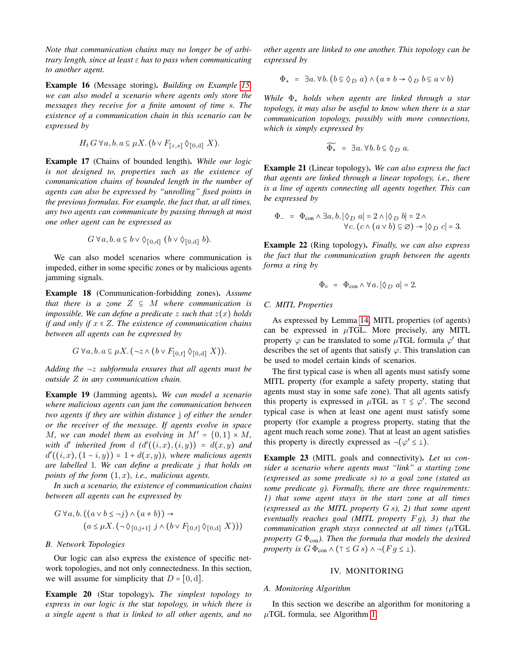*Note that communication chains may no longer be of arbitrary length, since at least* ε *has to pass when communicating to another agent.*

Example 16 (Message storing). *Building on Example [15,](#page-4-3) we can also model a scenario where agents only store the messages they receive for a finite amount of time* s*. The existence of a communication chain in this scenario can be expressed by*

$$
H_t G \ \forall a, b. \ a \subseteq \mu X. \ (b \vee F_{[\varepsilon, s]} \Diamond_{[0, d]} X).
$$

Example 17 (Chains of bounded length). *While our logic is not designed to, properties such as the existence of communication chains of bounded length in the number of agents can also be expressed by "unrolling" fixed points in the previous formulas. For example, the fact that, at all times, any two agents can communicate by passing through at most one other agent can be expressed as*

$$
G \ \forall a, b. \ a \subseteq b \lor \Diamond_{[0,d]} \ (b \lor \Diamond_{[0,d]} b).
$$

We can also model scenarios where communication is impeded, either in some specific zones or by malicious agents jamming signals.

Example 18 (Communication-forbidding zones). *Assume that there is a zone*  $Z \subseteq M$  *where communication is impossible. We can define a predicate* z *such that* z(x) *holds if and only if* <sup>x</sup> <sup>∈</sup> <sup>Z</sup>*. The existence of communication chains between all agents can be expressed by*

$$
G \ \forall a, b. \ a \subseteq \mu X. \ (\neg z \land (b \lor F_{[0,t]} \Diamond_{[0,d]} X)).
$$

*Adding the* ¬z *subformula ensures that all agents must be outside* Z *in any communication chain.*

Example 19 (Jamming agents). *We can model a scenario where malicious agents can jam the communication between two agents if they are within distance* j *of either the sender or the receiver of the message. If agents evolve in space* M, we can model them as evolving in  $M' = \{0, 1\} \times M$ , with d' inherited from d  $(d'((i, x), (i, y)) = d(x, y)$  and<br> $d'((i, x), (1, i, y)) = 1 + d(x, y)$  where maligious applies  $d'((i, x), (1-i, y)) = 1 + d(x, y)$ *), where malicious agents*<br>*and labelled* 1. We gay define a maglicate is that helds and *are labelled* 1*. We can define a predicate* j *that holds on points of the form* (1, x)*, i.e., malicious agents.*

*In such a scenario, the existence of communication chains between all agents can be expressed by*

$$
G \forall a, b. ((a \lor b \leq \neg j) \land (a \neq b)) \rightarrow
$$
  

$$
(a \leq \mu X. (\neg \Diamond_{[0,j+1]} j \land (b \lor F_{[0,t]} \Diamond_{[0,d]} X)))
$$

#### *B. Network Topologies*

Our logic can also express the existence of specific network topologies, and not only connectedness. In this section, we will assume for simplicity that  $D = [0, d]$ .

Example 20 (Star topology). *The simplest topology to express in our logic is the* star *topology, in which there is a single agent* a *that is linked to all other agents, and no* *other agents are linked to one another. This topology can be expressed by*

$$
\Phi_{\star} = \exists a. \forall b. (b \subseteq \Diamond_D a) \land (a \neq b \rightarrow \Diamond_D b \subseteq a \lor b)
$$

*While* Φ<sup>⋆</sup> *holds when agents are linked through a star topology, it may also be useful to know when there is a star communication topology, possibly with more connections, which is simply expressed by*

$$
\widetilde{\Phi_{\star}} = \exists a. \,\forall b. \, b \subseteq \Diamond_D \, a.
$$

Example 21 (Linear topology). *We can also express the fact that agents are linked through a linear topology, i.e., there is a line of agents connecting all agents together. This can be expressed by*

$$
\Phi_{-} = \Phi_{con} \wedge \exists a, b. \left| \Diamond_{D} a \right| = 2 \wedge \left| \Diamond_{D} b \right| = 2 \wedge \forall c. (c \wedge (a \vee b) \subseteq \varnothing) \rightarrow \left| \Diamond_{D} c \right| = 3.
$$

Example 22 (Ring topology). *Finally, we can also express the fact that the communication graph between the agents forms a ring by*

$$
\Phi_{\circ} = \Phi_{\text{con}} \wedge \forall a. |\Diamond_{D} a| = 2.
$$

# *C. MITL Properties*

As expressed by Lemma [14,](#page-4-4) MITL properties (of agents) can be expressed in  $\mu$ TGL. More precisely, any MITL property  $\varphi$  can be translated to some  $\mu$ TGL formula  $\varphi'$  that describes the set of agents that satisfy  $\varphi$ . This translation can be used to model certain kinds of scenarios.

The first typical case is when all agents must satisfy some MITL property (for example a safety property, stating that agents must stay in some safe zone). That all agents satisfy this property is expressed in  $\mu$ TGL as  $\tau \leq \varphi'$ . The second typical case is when at least one agent must satisfy some property (for example a progress property, stating that the agent much reach some zone). That at least an agent satisfies this property is directly expressed as  $\neg(\varphi' \leq \bot)$ .

Example 23 (MITL goals and connectivity). *Let us consider a scenario where agents must "link" a starting zone (expressed as some predicate* s*) to a goal zone (stated as some predicate* g*). Formally, there are three requirements: 1) that some agent stays in the start zone at all times (expressed as the MITL property* G s*), 2) that some agent eventually reaches goal (MITL property* F g*), 3) that the communication graph stays connected at all times (*µTGL *property*  $G \Phi_{con}$ *). Then the formula that models the desired property is*  $G \Phi_{con} \wedge (\top \leq G s) \wedge \neg (F g \leq \bot).$ 

# IV. MONITORING

# <span id="page-5-0"></span>*A. Monitoring Algorithm*

In this section we describe an algorithm for monitoring a  $\mu$ TGL formula, see Algorithm [1.](#page-7-1)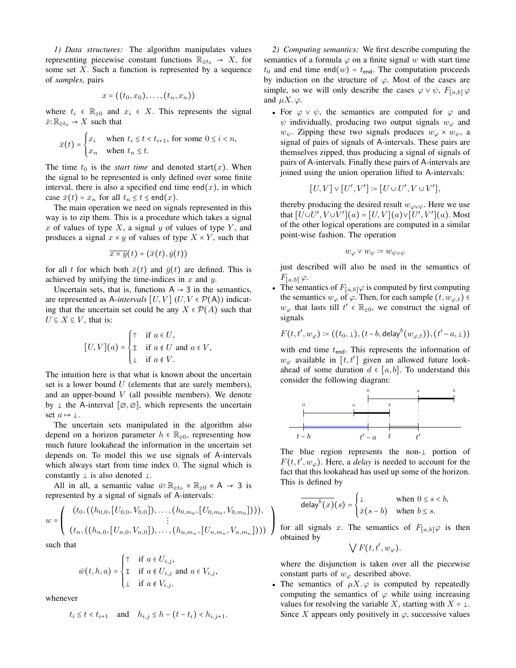*1) Data structures:* The algorithm manipulates values representing piecewise constant functions  $\mathbb{R}_{\geq t_0} \to X$ , for some set  $X$ . Such a function is represented by a sequence of *samples*, pairs

$$
x = ((t_0,x_0),\ldots,(t_n,x_n))
$$

where  $t_i \in \mathbb{R}_{\geq 0}$  and  $x_i \in X$ . This represents the signal  $\bar{x}: \mathbb{R}_{\geq t_0} \to X$  such that

$$
\bar{x}(t) = \begin{cases} x_i & \text{when } t_i \le t < t_{i+1}, \text{ for some } 0 \le i < n, \\ x_n & \text{when } t_n \le t. \end{cases}
$$

The time  $t_0$  is the *start time* and denoted start $(x)$ . When the signal to be represented is only defined over some finite interval, there is also a specified end time end $(x)$ , in which case  $\bar{x}(t) = x_n$  for all  $t_n \le t \le \text{end}(x)$ .

The main operation we need on signals represented in this way is to zip them. This is a procedure which takes a signal x of values of type  $X$ , a signal  $y$  of values of type  $Y$ , and produces a signal  $x \times y$  of values of type  $X \times Y$ , such that

$$
\overline{x \times y}(t) = (\bar{x}(t), \bar{y}(t))
$$

for all t for which both  $\bar{x}(t)$  and  $\bar{y}(t)$  are defined. This is achieved by unifying the time-indices in  $x$  and  $y$ .

Uncertain sets, that is, functions  $A \rightarrow 3$  in the semantics, are represented as A-intervals  $[U, V]$   $(U, V \in \mathcal{P}(\mathsf{A}))$  indicating that the uncertain set could be any  $X \in \mathcal{P}(A)$  such that  $U \subseteq X \subseteq V$ , that is:

$$
[U,V](a) = \begin{cases} \top & \text{if } a \in U, \\ \mathbb{T} & \text{if } a \notin U \text{ and } a \in V, \\ \bot & \text{if } a \notin V. \end{cases}
$$

The intuition here is that what is known about the uncertain set is a lower bound  $U$  (elements that are surely members), and an upper-bound  $V$  (all possible members). We denote by  $\perp$  the A-interval  $[\emptyset, \emptyset]$ , which represents the uncertain set  $a \mapsto \perp$ .

The uncertain sets manipulated in the algorithm also depend on a horizon parameter  $h \in \mathbb{R}_{\geq 0}$ , representing how much future lookahead the information in the uncertain set depends on. To model this we use signals of A-intervals which always start from time index 0. The signal which is constantly  $\perp$  is also denoted  $\perp$ .

All in all, a semantic value  $\bar{w}$ :  $\mathbb{R}_{\geq t_0} \times \mathbb{R}_{\geq 0} \times A \rightarrow 3$  is represented by a signal of signals of A-intervals:

$$
w = \left( \begin{array}{c} (t_0, ((h_{0,0}, [U_{0,0}, V_{0,0}]), \ldots, (h_{0,m_0}, [U_{0,m_0}, V_{0,m_0}]))), \\ \vdots \\ (t_n, ((h_{n,0}, [U_{n,0}, V_{n,0}]), \ldots, (h_{n,m_n}, [U_{n,m_n}, V_{n,m_n}]))) \end{array} \right)
$$

such that

$$
\bar{w}(t, h, a) = \begin{cases} \top & \text{if } a \in U_{i,j}, \\ \bot & \text{if } a \notin U_{i,j} \text{ and } a \in V_{i,j}, \\ \bot & \text{if } a \notin V_{i,j}. \end{cases}
$$

whenever

$$
t_i \le t < t_{i+1}
$$
 and  $h_{i,j} \le h - (t - t_i) < h_{i,j+1}$ .

*2) Computing semantics:* We first describe computing the semantics of a formula  $\varphi$  on a finite signal w with start time  $t_0$  and end time end(w) =  $t_{end}$ . The computation proceeds by induction on the structure of  $\varphi$ . Most of the cases are simple, so we will only describe the cases  $\varphi \vee \psi$ ,  $F_{[a,b]} \varphi$ and  $\mu X.\varphi$ .

• For  $\varphi \vee \psi$ , the semantics are computed for  $\varphi$  and  $\psi$  individually, producing two output signals  $w_{\varphi}$  and  $w_{\psi}$ . Zipping these two signals produces  $w_{\varphi} \times w_{\psi}$ , a signal of pairs of signals of A-intervals. These pairs are themselves zipped, thus producing a signal of signals of pairs of A-intervals. Finally these pairs of A-intervals are joined using the union operation lifted to A-intervals:

$$
[U,V] \vee [U',V'] \coloneqq [U \cup U', V \cup V'],
$$

thereby producing the desired result  $w_{\varphi \lor \psi}$ . Here we use that  $[U \cup U', V \cup V'](a) = [U, V](a) \vee [U', V'](a)$ . Most of the other logical operations are computed in a similar point-wise fashion. The operation

$$
w_\varphi\vee w_\psi\coloneqq w_{\psi\vee\psi}
$$

just described will also be used in the semantics of  $F_{[a,b]}$   $\varphi$ .

• The semantics of  $F_{[a,b]}\varphi$  is computed by first computing the semantics  $w_{\varphi}$  of  $\varphi$ . Then, for each sample  $(t, w_{\varphi,t}) \in$  $w_{\varphi}$  that lasts till  $t' \in \mathbb{R}_{\geq 0}$ , we construct the signal of signals

$$
F(t,t',w_{\varphi})\coloneqq((t_0,\bot),(t-b,\mathsf{delay}^b(w_{\varphi,t})),(t'-a,\bot))
$$

with end time  $t_{\text{end}}$ . This represents the information of  $w_{\varphi}$  available in [t, t'] given an allowed future lookahead of some duration  $d \in [a, b]$ . To understand this consider the following diagram:



The blue region represents the non- $\perp$  portion of  $F(t, t', w_{\varphi})$ . Here, a *delay* is needed to account for the fact that this lookahead has used up some of the horizon. This is defined by

$$
\overline{\text{delay}^{b}(x)}(s) = \begin{cases} \bot & \text{when } 0 \le s < b, \\ \bar{x}(s-b) & \text{when } b \le s. \end{cases}
$$

for all signals x. The semantics of  $F_{[a,b]}\varphi$  is then obtained by

 $\mathbf{I}$  $\overline{ }$ ⎠

 $\bigvee F(t,t',w_{\varphi})$ .

where the disjunction is taken over all the piecewise constant parts of  $w_{\varphi}$  described above.

The semantics of  $\mu X.\varphi$  is computed by repeatedly computing the semantics of  $\varphi$  while using increasing values for resolving the variable X, starting with  $X = \perp$ . Since X appears only positively in  $\varphi$ , successive values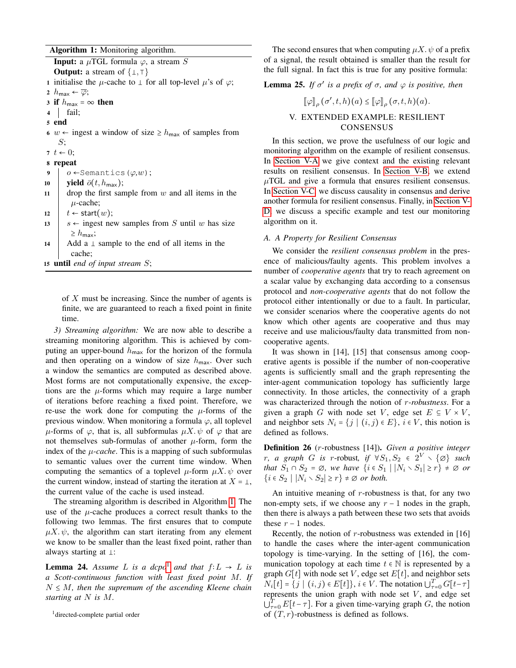Algorithm 1: Monitoring algorithm.

<span id="page-7-1"></span>**Input:** a  $\mu$ TGL formula  $\varphi$ , a stream S **Output:** a stream of  $\{ \bot, \top \}$ 1 initialise the  $\mu$ -cache to  $\perp$  for all top-level  $\mu$ 's of  $\varphi$ ; 2  $h_{\text{max}} \leftarrow \overline{\varphi};$ 3 if  $h_{\text{max}} = \infty$  then<br>4 | fail; fail; 5 end 6 w ← ingest a window of size  $\geq h_{\text{max}}$  of samples from  $S$ : 7  $t \leftarrow 0$ ; 8 repeat 9  $o \leftarrow$ Semantics ( $\varphi, w$ );<br>10 **vield**  $\bar{o}(t, h_{\text{max}})$ ; 10 **yield**  $\bar{\sigma}(t, h_{\text{max}});$ <br>11 drop the first sar drop the first sample from  $w$  and all items in the  $\mu$ -cache; 12  $t \leftarrow start(w);$ <br>
13  $s \leftarrow$  ingest ne  $s \leftarrow$  ingest new samples from S until w has size  $\geq h_{\text{max}}$ ; 14 Add a  $\perp$  sample to the end of all items in the cache; <sup>15</sup> until *end of input stream* S;

of X must be increasing. Since the number of agents is finite, we are guaranteed to reach a fixed point in finite time.

*3) Streaming algorithm:* We are now able to describe a streaming monitoring algorithm. This is achieved by computing an upper-bound  $h_{\text{max}}$  for the horizon of the formula and then operating on a window of size  $h_{\text{max}}$ . Over such a window the semantics are computed as described above. Most forms are not computationally expensive, the exceptions are the  $\mu$ -forms which may require a large number of iterations before reaching a fixed point. Therefore, we re-use the work done for computing the  $\mu$ -forms of the previous window. When monitoring a formula  $\varphi$ , all toplevel  $\mu$ -forms of  $\varphi$ , that is, all subformulas  $\mu X. \psi$  of  $\varphi$  that are not themselves sub-formulas of another  $\mu$ -form, form the index of the  $\mu$ -cache. This is a mapping of such subformulas to semantic values over the current time window. When computing the semantics of a toplevel  $\mu$ -form  $\mu X. \psi$  over the current window, instead of starting the iteration at  $X = \perp$ , the current value of the cache is used instead.

The streaming algorithm is described in Algorithm [1.](#page-7-1) The use of the  $\mu$ -cache produces a correct result thanks to the following two lemmas. The first ensures that to compute  $\mu X$ .  $\psi$ , the algorithm can start iterating from any element we know to be smaller than the least fixed point, rather than always starting at  $\perp$ :

**Lemma 24.** *Assume L is a dcpo*<sup>[1](#page-7-2)</sup> *and that*  $f: L \rightarrow L$  *is a Scott-continuous function with least fixed point* M*. If* <sup>N</sup> <sup>≤</sup> <sup>M</sup>*, then the supremum of the ascending Kleene chain starting at* N *is* M*.*

The second ensures that when computing  $\mu X. \psi$  of a prefix of a signal, the result obtained is smaller than the result for the full signal. In fact this is true for any positive formula:

**Lemma 25.** *If*  $\sigma'$  *is a prefix of*  $\sigma$ *, and*  $\varphi$  *is positive, then* 

$$
[\![\varphi]\!]_{\rho}(\sigma', t, h)(a) \leq [\![\varphi]\!]_{\rho}(\sigma, t, h)(a).
$$
  
V. EXTENDED EXAMPLE: RESULT CONSENSUS

<span id="page-7-0"></span>In this section, we prove the usefulness of our logic and monitoring algorithm on the example of resilient consensus. In [Section V-A](#page-7-3) we give context and the existing relevant results on resilient consensus. In [Section V-B,](#page-8-0) we extend  $\mu$ TGL and give a formula that ensures resilient consensus. In [Section V-C,](#page-8-1) we discuss causality in consensus and derive another formula for resilient consensus. Finally, in [Section V-](#page-8-2)[D,](#page-8-2) we discuss a specific example and test our monitoring algorithm on it.

# <span id="page-7-3"></span>*A. A Property for Resilient Consensus*

We consider the *resilient consensus problem* in the presence of malicious/faulty agents. This problem involves a number of *cooperative agents* that try to reach agreement on a scalar value by exchanging data according to a consensus protocol and *non-cooperative agents* that do not follow the protocol either intentionally or due to a fault. In particular, we consider scenarios where the cooperative agents do not know which other agents are cooperative and thus may receive and use malicious/faulty data transmitted from noncooperative agents.

It was shown in [14], [15] that consensus among cooperative agents is possible if the number of non-cooperative agents is sufficiently small and the graph representing the inter-agent communication topology has sufficiently large connectivity. In those articles, the connectivity of a graph was characterized through the notion of r*-robustness*. For a given a graph G with node set V, edge set  $E \subseteq V \times V$ , and neighbor sets  $N_i = \{j \mid (i, j) \in E\}$ ,  $i \in V$ , this notion is defined as follows.

Definition 26 (r-robustness [14]). *Given a positive integer r*, a graph G is r-robust, if  $\forall S_1, S_2 \in 2^V \setminus \{\emptyset\}$  such<br>that  $S_1 \circ S_2 = \emptyset$  we have  $S_2 \circ S_1 \cup N_2 \circ S_2 \cup \emptyset$  on  $\emptyset$  and *that*  $S_1 \cap S_2 = \emptyset$ *, we have*  $\{i \in S_1 \mid |N_i \setminus S_1| \geq r\} \neq \emptyset$  *or*  ${i \in S_2 \mid |N_i \setminus S_2| \geq r} \neq \emptyset$  *or both.* 

An intuitive meaning of  $r$ -robustness is that, for any two non-empty sets, if we choose any  $r - 1$  nodes in the graph, then there is always a path between these two sets that avoids these  $r - 1$  nodes.

Recently, the notion of  $r$ -robustness was extended in [16] to handle the cases where the inter-agent communication topology is time-varying. In the setting of [16], the communication topology at each time  $t \in \mathbb{N}$  is represented by a graph  $G[t]$  with node set V, edge set  $E[t]$ , and neighbor sets  $N_i[t] = \{j \mid (i, j) \in E[t]\}, i \in V$ . The notation  $\bigcup_{\tau=0}^T G[t-\tau]$ represents the union graph with node set  $V$ , and edge set  $\bigcup_{\tau=0}^{T} E[t-\tau]$ . For a given time-varying graph G, the notion of  $(T, r)$ -robustness is defined as follows.

<span id="page-7-2"></span><sup>&</sup>lt;sup>1</sup>directed-complete partial order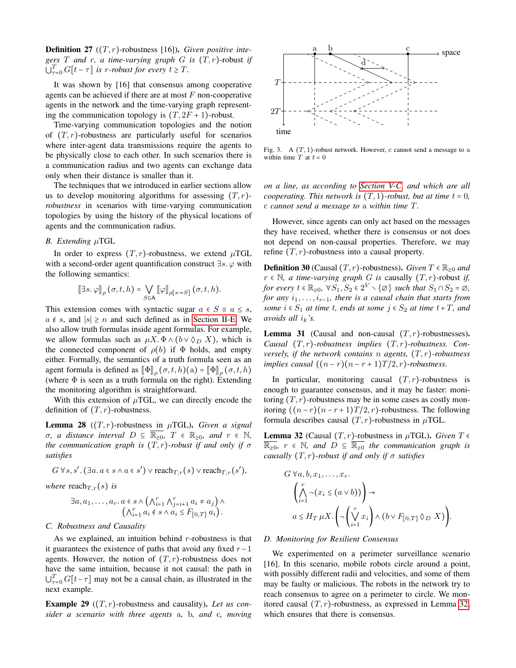**Definition 27**  $((T, r)$ -robustness [16]). *Given positive integers* T *and* r*, a time-varying graph* G *is* (T, r)-robust *if*  $\bigcup_{\tau=0}^T G[t-\tau]$  *is r-robust for every*  $t \geq T$ *.* 

It was shown by [16] that consensus among cooperative agents can be achieved if there are at most  $F$  non-cooperative agents in the network and the time-varying graph representing the communication topology is  $(T, 2F + 1)$ -robust.

Time-varying communication topologies and the notion of  $(T, r)$ -robustness are particularly useful for scenarios where inter-agent data transmissions require the agents to be physically close to each other. In such scenarios there is a communication radius and two agents can exchange data only when their distance is smaller than it.

The techniques that we introduced in earlier sections allow us to develop monitoring algorithms for assessing  $(T, r)$ *robustness* in scenarios with time-varying communication topologies by using the history of the physical locations of agents and the communication radius.

# <span id="page-8-0"></span>*B. Extending* µTGL

In order to express  $(T, r)$ -robustness, we extend  $\mu$ TGL with a second-order agent quantification construct  $\exists s. \varphi$  with the following semantics:

$$
\llbracket \exists s. \, \varphi \rrbracket_{\rho} \, (\sigma, t, h) = \bigvee_{S \subseteq \mathsf{A}} \, \llbracket \varphi \rrbracket_{\rho[s \to S]} \, (\sigma, t, h).
$$

This extension comes with syntactic sugar  $a \in S \equiv a \leq s$ ,  $a \notin s$ , and  $|s| \ge n$  and such defined as in [Section II-E.](#page-4-5) We also allow truth formulas inside agent formulas. For example, we allow formulas such as  $\mu X$ .  $\Phi \wedge (b \vee \Diamond_D X)$ , which is the connected component of  $\rho(b)$  if  $\Phi$  holds, and empty either. Formally, the semantics of a truth formula seen as an agent formula is defined as  $[\![\Phi]\!]_{\rho}(\sigma, t, h)(a) = [\![\Phi]\!]_{\rho}(\sigma, t, h)$ (where  $\Phi$  is seen as a truth formula on the right). Extending the monitoring algorithm is straightforward.

With this extension of  $\mu$ TGL, we can directly encode the definition of  $(T, r)$ -robustness.

**Lemma 28**  $((T, r)$ -robustness in  $\mu$ TGL). *Given a signal*  $\sigma$ *, a distance interval*  $D \subseteq \overline{\mathbb{R}_{\geq 0}}$ *,*  $T \in \mathbb{R}_{\geq 0}$ *, and*  $r \in \mathbb{N}$ *, the communication graph is*  $(T, r)$ *-robust if and only if*  $\sigma$ *satisfies*

$$
G \forall s, s'. \left(\exists a. a \in s \land a \in s'\right) \lor \text{reach}_{T,r}(s) \lor \text{reach}_{T,r}(s'),\right\}
$$

*where* reach $T_{,r}(s)$  *is* 

$$
\exists a, a_1, \ldots, a_r. a \in s \land \left(\bigwedge_{i=1}^r \bigwedge_{j=i+1}^r a_i \neq a_j\right) \land \left(\bigwedge_{i=1}^r a_i \notin s \land a_i \leq F_{[0,T]} a_i\right).
$$

#### <span id="page-8-1"></span>*C. Robustness and Causality*

As we explained, an intuition behind  $r$ -robustness is that it guarantees the existence of paths that avoid any fixed  $r-1$ agents. However, the notion of  $(T, r)$ -robustness does not have the same intuition, because it not causal: the path in  $\bigcup_{\tau=0}^{T} G[t-\tau]$  may not be a causal chain, as illustrated in the next example.

Example 29 ((T, r)-robustness and causality). *Let us consider a scenario with three agents* a*,* b*, and* c*, moving*



Fig. 3. A  $(T, 1)$ -robust network. However, c cannot send a message to a within time  $T$  at  $t = 0$ 

*on a line, as according to [Section V-C,](#page-8-1) and which are all cooperating. This network is*  $(T, 1)$ *-robust, but at time t = 0,* c *cannot send a message to* a *within time* T*.*

However, since agents can only act based on the messages they have received, whether there is consensus or not does not depend on non-causal properties. Therefore, we may refine  $(T, r)$ -robustness into a causal property.

**Definition 30** (Causal  $(T, r)$ -robustness). *Given*  $T \in \mathbb{R}_{\geq 0}$  *and*  $r ∈ ℕ$ , *a time-varying graph G is* causally  $(T, r)$ -robust *if, for every* <sup>t</sup> <sup>∈</sup> <sup>R</sup>≥0*,* <sup>∀</sup>S1, S<sup>2</sup> <sup>∈</sup> <sup>2</sup> <sup>V</sup> ∖{∅} *such that* <sup>S</sup><sup>1</sup> <sup>∩</sup>S<sup>2</sup> <sup>=</sup> <sup>∅</sup>*, for any*  $i_1, \ldots, i_{r-1}$ *, there is a causal chain that starts from some*  $i \in S_1$  *at time t, ends at some*  $j \in S_2$  *at time t+T, and avoids all*  $i_k$ *'s.* 

**Lemma 31** (Causal and non-causal  $(T, r)$ -robustnesses). *Causal* (T, r)*-robustness implies* (T, r)*-robustness. Conversely, if the network contains* n *agents,* (T, r)*-robustness implies causal*  $((n - r)(n - r + 1)T/2, r)$ *-robustness.* 

In particular, monitoring causal  $(T, r)$ -robustness is enough to guarantee consensus, and it may be faster: monitoring  $(T, r)$ -robustness may be in some cases as costly monitoring  $((n-r)(n-r+1)T/2, r)$ -robustness. The following formula describes causal  $(T, r)$ -robustness in  $\mu$ TGL.

<span id="page-8-3"></span>**Lemma 32** (Causal  $(T, r)$ -robustness in  $\mu$ TGL). *Given*  $T \in$ <sup>R</sup>≥0*,* <sup>r</sup> <sup>∈</sup> <sup>N</sup>*, and* <sup>D</sup> <sup>⊆</sup> <sup>R</sup>≥<sup>0</sup> *the communication graph is causally*  $(T, r)$ *-robust if and only if*  $\sigma$  *satisfies* 

$$
G \forall a, b, x_1, \dots, x_r.
$$
  
\n
$$
\left(\bigwedge_{i=1}^r \neg(x_i \leq (a \lor b))\right) \to
$$
  
\n
$$
a \leq H_T \mu X. \left(\neg\left(\bigvee_{i=1}^r x_i\right) \land (b \lor F_{[0,T]} \Diamond_D X)\right).
$$

## <span id="page-8-2"></span>*D. Monitoring for Resilient Consensus*

We experimented on a perimeter surveillance scenario [16]. In this scenario, mobile robots circle around a point, with possibly different radii and velocities, and some of them may be faulty or malicious. The robots in the network try to reach consensus to agree on a perimeter to circle. We monitored causal  $(T, r)$ -robustness, as expressed in Lemma [32,](#page-8-3) which ensures that there is consensus.